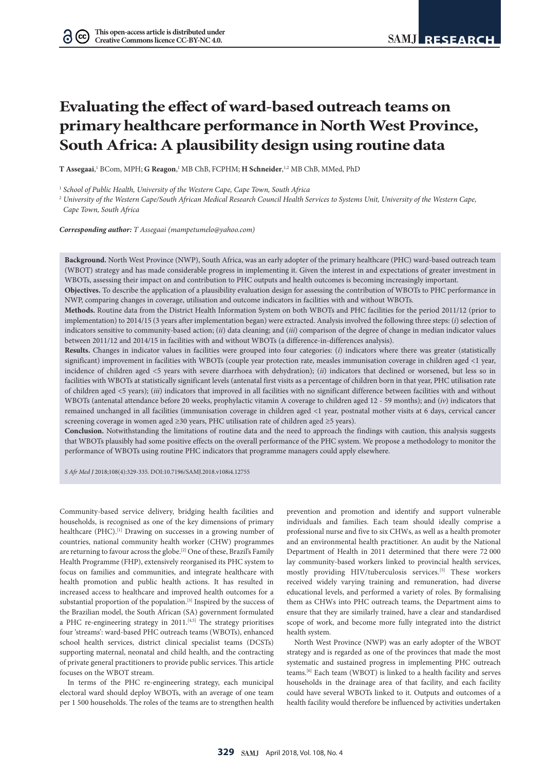# **Evaluating the effect of ward-based outreach teams on primary healthcare performance in North West Province, South Africa: A plausibility design using routine data**

**T** Assegaai,<sup>1</sup> BCom, MPH; G Reagon,<sup>1</sup> MB ChB, FCPHM; **H Schneider**,<sup>1,2</sup> MB ChB, MMed, PhD

1  *School of Public Health, University of the Western Cape, Cape Town, South Africa*

<sup>2</sup> *University of the Western Cape/South African Medical Research Council Health Services to Systems Unit, University of the Western Cape, Cape Town, South Africa*

*Corresponding author: T Assegaai (mampetumelo@yahoo.com)*

**Background.** North West Province (NWP), South Africa, was an early adopter of the primary healthcare (PHC) ward-based outreach team (WBOT) strategy and has made considerable progress in implementing it. Given the interest in and expectations of greater investment in WBOTs, assessing their impact on and contribution to PHC outputs and health outcomes is becoming increasingly important.

**Objectives.** To describe the application of a plausibility evaluation design for assessing the contribution of WBOTs to PHC performance in NWP, comparing changes in coverage, utilisation and outcome indicators in facilities with and without WBOTs.

**Methods.** Routine data from the District Health Information System on both WBOTs and PHC facilities for the period 2011/12 (prior to implementation) to 2014/15 (3 years after implementation began) were extracted. Analysis involved the following three steps: (*i*) selection of indicators sensitive to community-based action; (*ii*) data cleaning; and (*iii*) comparison of the degree of change in median indicator values between 2011/12 and 2014/15 in facilities with and without WBOTs (a difference-in-differences analysis).

**Results.** Changes in indicator values in facilities were grouped into four categories: (*i*) indicators where there was greater (statistically significant) improvement in facilities with WBOTs (couple year protection rate, measles immunisation coverage in children aged <1 year, incidence of children aged <5 years with severe diarrhoea with dehydration); (*ii*) indicators that declined or worsened, but less so in facilities with WBOTs at statistically significant levels (antenatal first visits as a percentage of children born in that year, PHC utilisation rate of children aged <5 years); (*iii*) indicators that improved in all facilities with no significant difference between facilities with and without WBOTs (antenatal attendance before 20 weeks, prophylactic vitamin A coverage to children aged 12 - 59 months); and (*iv*) indicators that remained unchanged in all facilities (immunisation coverage in children aged <1 year, postnatal mother visits at 6 days, cervical cancer screening coverage in women aged ≥30 years, PHC utilisation rate of children aged ≥5 years).

**Conclusion.** Notwithstanding the limitations of routine data and the need to approach the findings with caution, this analysis suggests that WBOTs plausibly had some positive effects on the overall performance of the PHC system. We propose a methodology to monitor the performance of WBOTs using routine PHC indicators that programme managers could apply elsewhere.

*S Afr Med J* 2018;108(4):329-335. DOI:10.7196/SAMJ.2018.v108i4.12755

Community-based service delivery, bridging health facilities and households, is recognised as one of the key dimensions of primary healthcare (PHC).<sup>[1]</sup> Drawing on successes in a growing number of countries, national community health worker (CHW) programmes are returning to favour across the globe.[2] One of these, Brazil's Family Health Programme (FHP), extensively reorganised its PHC system to focus on families and communities, and integrate healthcare with health promotion and public health actions. It has resulted in increased access to healthcare and improved health outcomes for a substantial proportion of the population.<sup>[3]</sup> Inspired by the success of the Brazilian model, the South African (SA) government formulated a PHC re-engineering strategy in 2011.<sup>[4,5]</sup> The strategy prioritises four 'streams': ward-based PHC outreach teams (WBOTs), enhanced school health services, district clinical specialist teams (DCSTs) supporting maternal, neonatal and child health, and the contracting of private general practitioners to provide public services. This article focuses on the WBOT stream.

In terms of the PHC re-engineering strategy, each municipal electoral ward should deploy WBOTs, with an average of one team per 1 500 households. The roles of the teams are to strengthen health prevention and promotion and identify and support vulnerable individuals and families. Each team should ideally comprise a professional nurse and five to six CHWs, as well as a health promoter and an environmental health practitioner. An audit by the National Department of Health in 2011 determined that there were 72 000 lay community-based workers linked to provincial health services, mostly providing HIV/tuberculosis services.[5] These workers received widely varying training and remuneration, had diverse educational levels, and performed a variety of roles. By formalising them as CHWs into PHC outreach teams, the Department aims to ensure that they are similarly trained, have a clear and standardised scope of work, and become more fully integrated into the district health system.

North West Province (NWP) was an early adopter of the WBOT strategy and is regarded as one of the provinces that made the most systematic and sustained progress in implementing PHC outreach teams.[6] Each team (WBOT) is linked to a health facility and serves households in the drainage area of that facility, and each facility could have several WBOTs linked to it. Outputs and outcomes of a health facility would therefore be influenced by activities undertaken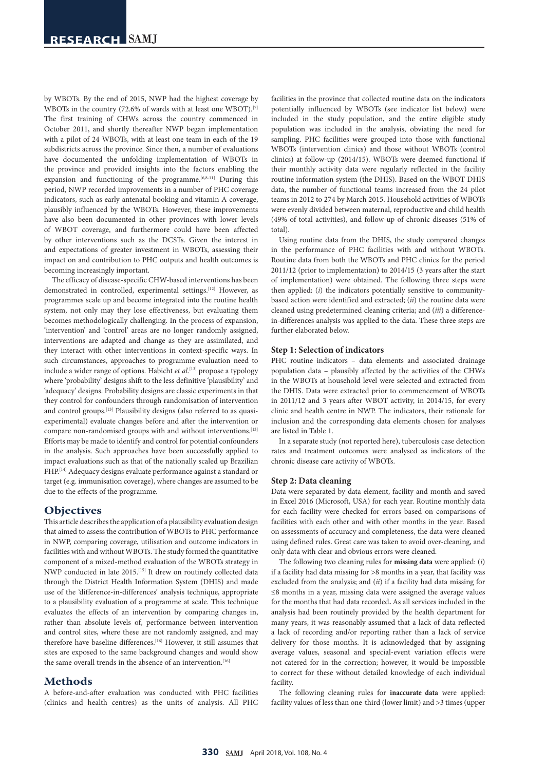by WBOTs. By the end of 2015, NWP had the highest coverage by WBOTs in the country (72.6% of wards with at least one WBOT).<sup>[7]</sup> The first training of CHWs across the country commenced in October 2011, and shortly thereafter NWP began implementation with a pilot of 24 WBOTs, with at least one team in each of the 19 subdistricts across the province. Since then, a number of evaluations have documented the unfolding implementation of WBOTs in the province and provided insights into the factors enabling the expansion and functioning of the programme.<sup>[6,8-11]</sup> During this period, NWP recorded improvements in a number of PHC coverage indicators, such as early antenatal booking and vitamin A coverage, plausibly influenced by the WBOTs. However, these improvements have also been documented in other provinces with lower levels of WBOT coverage, and furthermore could have been affected by other interventions such as the DCSTs. Given the interest in and expectations of greater investment in WBOTs, assessing their impact on and contribution to PHC outputs and health outcomes is becoming increasingly important.

The efficacy of disease-specific CHW-based interventions has been demonstrated in controlled, experimental settings.<sup>[12]</sup> However, as programmes scale up and become integrated into the routine health system, not only may they lose effectiveness, but evaluating them becomes methodologically challenging. In the process of expansion, 'intervention' and 'control' areas are no longer randomly assigned, interventions are adapted and change as they are assimilated, and they interact with other interventions in context-specific ways. In such circumstances, approaches to programme evaluation need to include a wider range of options. Habicht *et al*. [13] propose a typology where 'probability' designs shift to the less definitive 'plausibility' and 'adequacy' designs. Probability designs are classic experiments in that they control for confounders through randomisation of intervention and control groups.<sup>[13]</sup> Plausibility designs (also referred to as quasiexperimental) evaluate changes before and after the intervention or compare non-randomised groups with and without interventions.[13] Efforts may be made to identify and control for potential confounders in the analysis. Such approaches have been successfully applied to impact evaluations such as that of the nationally scaled up Brazilian FHP.[14] Adequacy designs evaluate performance against a standard or target (e.g. immunisation coverage), where changes are assumed to be due to the effects of the programme.

# **Objectives**

This article describes the application of a plausibility evaluation design that aimed to assess the contribution of WBOTs to PHC performance in NWP, comparing coverage, utilisation and outcome indicators in facilities with and without WBOTs. The study formed the quantitative component of a mixed-method evaluation of the WBOTs strategy in NWP conducted in late 2015.[15] It drew on routinely collected data through the District Health Information System (DHIS) and made use of the 'difference-in-differences' analysis technique, appropriate to a plausibility evaluation of a programme at scale. This technique evaluates the effects of an intervention by comparing changes in, rather than absolute levels of, performance between intervention and control sites, where these are not randomly assigned, and may therefore have baseline differences.<sup>[16]</sup> However, it still assumes that sites are exposed to the same background changes and would show the same overall trends in the absence of an intervention.<sup>[16]</sup>

# **Methods**

A before-and-after evaluation was conducted with PHC facilities (clinics and health centres) as the units of analysis. All PHC facilities in the province that collected routine data on the indicators potentially influenced by WBOTs (see indicator list below) were included in the study population, and the entire eligible study population was included in the analysis, obviating the need for sampling. PHC facilities were grouped into those with functional WBOTs (intervention clinics) and those without WBOTs (control clinics) at follow-up (2014/15). WBOTs were deemed functional if their monthly activity data were regularly reflected in the facility routine information system (the DHIS). Based on the WBOT DHIS data, the number of functional teams increased from the 24 pilot teams in 2012 to 274 by March 2015. Household activities of WBOTs were evenly divided between maternal, reproductive and child health (49% of total activities), and follow-up of chronic diseases (51% of total).

Using routine data from the DHIS, the study compared changes in the performance of PHC facilities with and without WBOTs. Routine data from both the WBOTs and PHC clinics for the period 2011/12 (prior to implementation) to 2014/15 (3 years after the start of implementation) were obtained. The following three steps were then applied: (*i*) the indicators potentially sensitive to communitybased action were identified and extracted; (*ii*) the routine data were cleaned using predetermined cleaning criteria; and (*iii*) a differencein-differences analysis was applied to the data. These three steps are further elaborated below.

#### **Step 1: Selection of indicators**

PHC routine indicators – data elements and associated drainage population data – plausibly affected by the activities of the CHWs in the WBOTs at household level were selected and extracted from the DHIS. Data were extracted prior to commencement of WBOTs in 2011/12 and 3 years after WBOT activity, in 2014/15, for every clinic and health centre in NWP. The indicators, their rationale for inclusion and the corresponding data elements chosen for analyses are listed in Table 1.

In a separate study (not reported here), tuberculosis case detection rates and treatment outcomes were analysed as indicators of the chronic disease care activity of WBOTs.

#### **Step 2: Data cleaning**

Data were separated by data element, facility and month and saved in Excel 2016 (Microsoft, USA) for each year. Routine monthly data for each facility were checked for errors based on comparisons of facilities with each other and with other months in the year. Based on assessments of accuracy and completeness, the data were cleaned using defined rules. Great care was taken to avoid over-cleaning, and only data with clear and obvious errors were cleaned.

The following two cleaning rules for **missing data** were applied: (*i*) if a facility had data missing for >8 months in a year, that facility was excluded from the analysis; and (*ii*) if a facility had data missing for ≤8 months in a year, missing data were assigned the average values for the months that had data recorded**.** As all services included in the analysis had been routinely provided by the health department for many years, it was reasonably assumed that a lack of data reflected a lack of recording and/or reporting rather than a lack of service delivery for those months. It is acknowledged that by assigning average values, seasonal and special-event variation effects were not catered for in the correction; however, it would be impossible to correct for these without detailed knowledge of each individual facility.

The following cleaning rules for **inaccurate data** were applied: facility values of less than one-third (lower limit) and >3 times (upper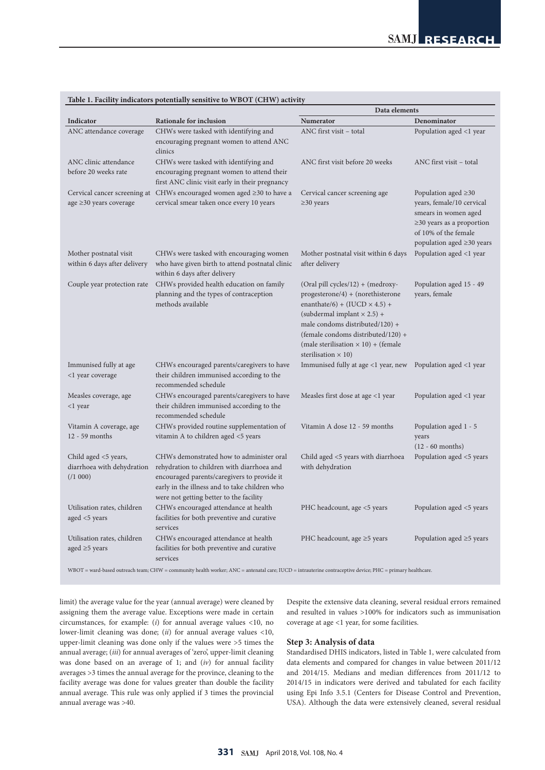|                                                              |                                                                                                                                                                                                                                   | Data elements                                                                                                                                                                                                                                                                                                |                                                                                                                                                                              |
|--------------------------------------------------------------|-----------------------------------------------------------------------------------------------------------------------------------------------------------------------------------------------------------------------------------|--------------------------------------------------------------------------------------------------------------------------------------------------------------------------------------------------------------------------------------------------------------------------------------------------------------|------------------------------------------------------------------------------------------------------------------------------------------------------------------------------|
| Indicator                                                    | Rationale for inclusion                                                                                                                                                                                                           | <b>Numerator</b>                                                                                                                                                                                                                                                                                             | Denominator                                                                                                                                                                  |
| ANC attendance coverage                                      | CHWs were tasked with identifying and<br>encouraging pregnant women to attend ANC<br>clinics                                                                                                                                      | ANC first visit - total                                                                                                                                                                                                                                                                                      | Population aged <1 year                                                                                                                                                      |
| ANC clinic attendance<br>before 20 weeks rate                | CHWs were tasked with identifying and<br>encouraging pregnant women to attend their<br>first ANC clinic visit early in their pregnancy                                                                                            | ANC first visit before 20 weeks                                                                                                                                                                                                                                                                              | ANC first visit - total                                                                                                                                                      |
| age $\geq$ 30 years coverage                                 | Cervical cancer screening at $\mathcal{C}$ HWs encouraged women aged $\geq$ 30 to have a<br>cervical smear taken once every 10 years                                                                                              | Cervical cancer screening age<br>$\geq$ 30 years                                                                                                                                                                                                                                                             | Population aged $\geq 30$<br>years, female/10 cervical<br>smears in women aged<br>$\geq$ 30 years as a proportion<br>of 10% of the female<br>population aged $\geq$ 30 years |
| Mother postnatal visit<br>within 6 days after delivery       | CHWs were tasked with encouraging women<br>who have given birth to attend postnatal clinic<br>within 6 days after delivery                                                                                                        | Mother postnatal visit within 6 days<br>after delivery                                                                                                                                                                                                                                                       | Population aged <1 year                                                                                                                                                      |
| Couple year protection rate                                  | CHWs provided health education on family<br>planning and the types of contraception<br>methods available                                                                                                                          | (Oral pill cycles/12) + (medroxy-<br>$progesterone/4) + (norethisterone)$<br>enanthate/6) + (IUCD $\times$ 4.5) +<br>(subdermal implant $\times$ 2.5) +<br>male condoms distributed/120) +<br>(female condoms distributed/120) +<br>(male sterilisation $\times$ 10) + (female<br>sterilisation $\times$ 10) | Population aged 15 - 49<br>years, female                                                                                                                                     |
| Immunised fully at age<br><1 year coverage                   | CHWs encouraged parents/caregivers to have<br>their children immunised according to the<br>recommended schedule                                                                                                                   | Immunised fully at age <1 year, new                                                                                                                                                                                                                                                                          | Population aged <1 year                                                                                                                                                      |
| Measles coverage, age<br><1 year                             | CHWs encouraged parents/caregivers to have<br>their children immunised according to the<br>recommended schedule                                                                                                                   | Measles first dose at age <1 year                                                                                                                                                                                                                                                                            | Population aged <1 year                                                                                                                                                      |
| Vitamin A coverage, age<br>$12 - 59$ months                  | CHWs provided routine supplementation of<br>vitamin A to children aged <5 years                                                                                                                                                   | Vitamin A dose 12 - 59 months                                                                                                                                                                                                                                                                                | Population aged 1 - 5<br>years<br>$(12 - 60$ months)                                                                                                                         |
| Child aged <5 years,<br>diarrhoea with dehydration<br>(1000) | CHWs demonstrated how to administer oral<br>rehydration to children with diarrhoea and<br>encouraged parents/caregivers to provide it<br>early in the illness and to take children who<br>were not getting better to the facility | Child aged <5 years with diarrhoea<br>with dehydration                                                                                                                                                                                                                                                       | Population aged <5 years                                                                                                                                                     |
| Utilisation rates, children<br>aged <5 years                 | CHWs encouraged attendance at health<br>facilities for both preventive and curative<br>services                                                                                                                                   | PHC headcount, age <5 years                                                                                                                                                                                                                                                                                  | Population aged <5 years                                                                                                                                                     |
| Utilisation rates, children<br>aged $\geq$ 5 years           | CHWs encouraged attendance at health<br>facilities for both preventive and curative<br>services                                                                                                                                   | PHC headcount, age $\geq$ 5 years                                                                                                                                                                                                                                                                            | Population aged $\geq$ 5 years                                                                                                                                               |

## **Table 1. Facility indicators potentially sensitive to WBOT (CHW) activity**

WBOT = ward-based outreach team; CHW = community health worker; ANC = antenatal care; IUCD = intrauterine contraceptive device; PHC = primary healthcare.

limit) the average value for the year (annual average) were cleaned by assigning them the average value. Exceptions were made in certain circumstances, for example: (*i*) for annual average values <10, no lower-limit cleaning was done; (*ii*) for annual average values <10, upper-limit cleaning was done only if the values were >5 times the annual average; (*iii*) for annual averages of 'zero', upper-limit cleaning was done based on an average of 1; and (*iv*) for annual facility averages >3 times the annual average for the province, cleaning to the facility average was done for values greater than double the facility annual average. This rule was only applied if 3 times the provincial annual average was >40.

Despite the extensive data cleaning, several residual errors remained and resulted in values >100% for indicators such as immunisation coverage at age <1 year, for some facilities.

## **Step 3: Analysis of data**

Standardised DHIS indicators, listed in Table 1, were calculated from data elements and compared for changes in value between 2011/12 and 2014/15. Medians and median differences from 2011/12 to 2014/15 in indicators were derived and tabulated for each facility using Epi Info 3.5.1 (Centers for Disease Control and Prevention, USA). Although the data were extensively cleaned, several residual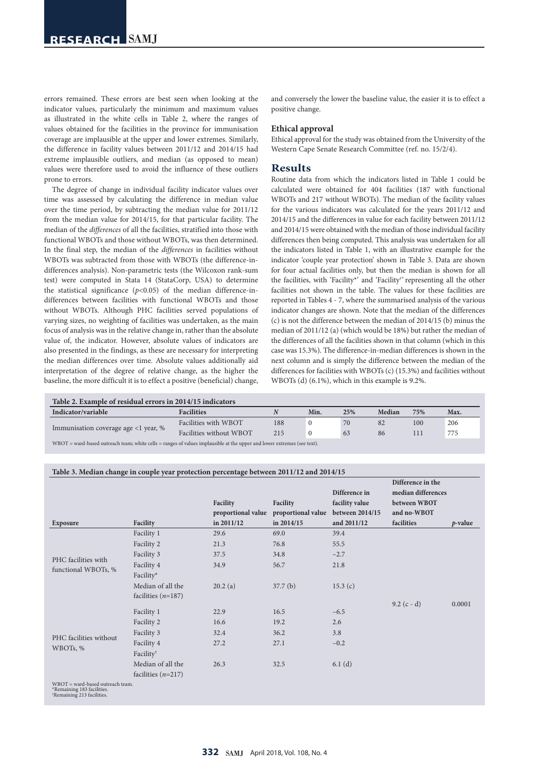errors remained. These errors are best seen when looking at the indicator values, particularly the minimum and maximum values as illustrated in the white cells in Table 2, where the ranges of values obtained for the facilities in the province for immunisation coverage are implausible at the upper and lower extremes. Similarly, the difference in facility values between 2011/12 and 2014/15 had extreme implausible outliers, and median (as opposed to mean) values were therefore used to avoid the influence of these outliers prone to errors.

The degree of change in individual facility indicator values over time was assessed by calculating the difference in median value over the time period, by subtracting the median value for 2011/12 from the median value for 2014/15, for that particular facility. The median of the *differences* of all the facilities, stratified into those with functional WBOTs and those without WBOTs, was then determined. In the final step, the median of the *differences* in facilities without WBOTs was subtracted from those with WBOTs (the difference-indifferences analysis). Non-parametric tests (the Wilcoxon rank-sum test) were computed in Stata 14 (StataCorp, USA) to determine the statistical significance  $(p<0.05)$  of the median difference-indifferences between facilities with functional WBOTs and those without WBOTs. Although PHC facilities served populations of varying sizes, no weighting of facilities was undertaken, as the main focus of analysis was in the relative change in, rather than the absolute value of, the indicator. However, absolute values of indicators are also presented in the findings, as these are necessary for interpreting the median differences over time. Absolute values additionally aid interpretation of the degree of relative change, as the higher the baseline, the more difficult it is to effect a positive (beneficial) change,

and conversely the lower the baseline value, the easier it is to effect a positive change.

#### **Ethical approval**

Ethical approval for the study was obtained from the University of the Western Cape Senate Research Committee (ref. no. 15/2/4).

# **Results**

Routine data from which the indicators listed in Table 1 could be calculated were obtained for 404 facilities (187 with functional WBOTs and 217 without WBOTs). The median of the facility values for the various indicators was calculated for the years 2011/12 and 2014/15 and the differences in value for each facility between 2011/12 and 2014/15 were obtained with the median of those individual facility differences then being computed. This analysis was undertaken for all the indicators listed in Table 1, with an illustrative example for the indicator 'couple year protection' shown in Table 3. Data are shown for four actual facilities only, but then the median is shown for all the facilities, with 'Facility\*' and 'Facility† ' representing all the other facilities not shown in the table. The values for these facilities are reported in Tables 4 - 7, where the summarised analysis of the various indicator changes are shown. Note that the median of the differences (c) is not the difference between the median of 2014/15 (b) minus the median of 2011/12 (a) (which would be 18%) but rather the median of the differences of all the facilities shown in that column (which in this case was 15.3%). The difference-in-median differences is shown in the next column and is simply the difference between the median of the differences for facilities with WBOTs (c) (15.3%) and facilities without WBOTs (d) (6.1%), which in this example is 9.2%.

| Table 2. Example of residual errors in 2014/15 indicators                                                                 |                         |     |      |     |        |     |      |  |  |
|---------------------------------------------------------------------------------------------------------------------------|-------------------------|-----|------|-----|--------|-----|------|--|--|
| Indicator/variable<br><b>Facilities</b>                                                                                   |                         |     | Min. | 25% | Median | 75% | Max. |  |  |
| Immunisation coverage age $\langle 1 \rangle$ year, %                                                                     | Facilities with WBOT    | 188 |      | 70  | 82     | 100 | 206  |  |  |
|                                                                                                                           | Facilities without WBOT | 215 |      | 63  | 86     | 111 | 775  |  |  |
| $WBOT =$ ward-based outreach team; white cells = ranges of values implausible at the upper and lower extremes (see text). |                         |     |      |     |        |     |      |  |  |

#### **Table 3. Median change in couple year protection percentage between 2011/12 and 2014/15**

| Exposure                                                                                                   | Facility              | Facility<br>proportional value<br>in $2011/12$ | Facility<br>proportional value<br>in 2014/15 | Difference in<br>facility value<br>between 2014/15<br>and 2011/12 | Difference in the<br>median differences<br>between WBOT<br>and no-WBOT<br>facilities | $p$ -value |
|------------------------------------------------------------------------------------------------------------|-----------------------|------------------------------------------------|----------------------------------------------|-------------------------------------------------------------------|--------------------------------------------------------------------------------------|------------|
|                                                                                                            | Facility 1            | 29.6                                           | 69.0                                         | 39.4                                                              |                                                                                      |            |
|                                                                                                            | Facility 2            | 21.3                                           | 76.8                                         | 55.5                                                              |                                                                                      |            |
|                                                                                                            | Facility 3            | 37.5                                           | 34.8                                         | $-2.7$                                                            |                                                                                      |            |
| PHC facilities with<br>functional WBOTs, %                                                                 | Facility 4            | 34.9                                           | 56.7                                         | 21.8                                                              |                                                                                      |            |
|                                                                                                            | Facility*             |                                                |                                              |                                                                   |                                                                                      |            |
|                                                                                                            | Median of all the     | 20.2(a)                                        | 37.7 <sub>(b)</sub>                          | 15.3 $(c)$                                                        |                                                                                      |            |
|                                                                                                            | facilities $(n=187)$  |                                                |                                              |                                                                   |                                                                                      |            |
|                                                                                                            |                       |                                                |                                              |                                                                   | $9.2$ (c - d)                                                                        | 0.0001     |
|                                                                                                            | Facility 1            | 22.9                                           | 16.5                                         | $-6.5$                                                            |                                                                                      |            |
|                                                                                                            | Facility 2            | 16.6                                           | 19.2                                         | 2.6                                                               |                                                                                      |            |
|                                                                                                            | Facility 3            | 32.4                                           | 36.2                                         | 3.8                                                               |                                                                                      |            |
| PHC facilities without<br>WBOTs, %                                                                         | Facility 4            | 27.2                                           | 27.1                                         | $-0.2$                                                            |                                                                                      |            |
|                                                                                                            | Facility <sup>†</sup> |                                                |                                              |                                                                   |                                                                                      |            |
|                                                                                                            | Median of all the     | 26.3                                           | 32.5                                         | 6.1(d)                                                            |                                                                                      |            |
|                                                                                                            | facilities $(n=217)$  |                                                |                                              |                                                                   |                                                                                      |            |
| $WBOT =$ ward-based outreach team.<br>*Remaining 183 facilities.<br><sup>†</sup> Remaining 213 facilities. |                       |                                                |                                              |                                                                   |                                                                                      |            |

**332 SAMJ** April 2018, Vol. 108, No. 4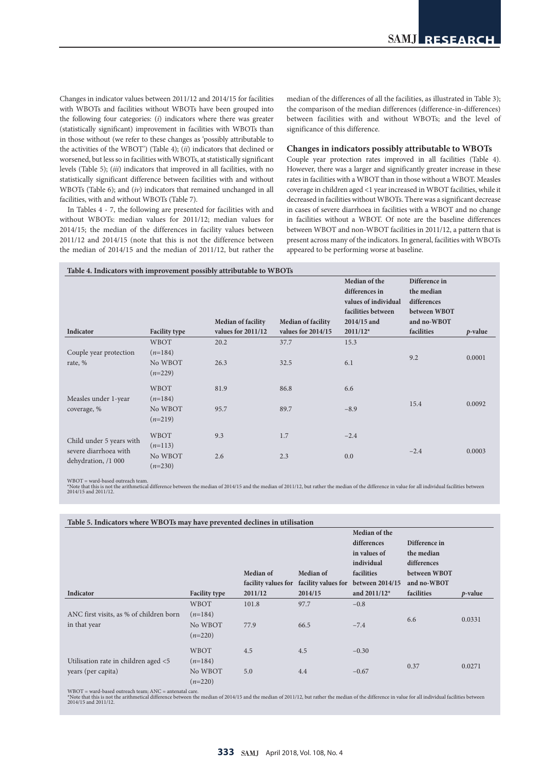Changes in indicator values between 2011/12 and 2014/15 for facilities with WBOTs and facilities without WBOTs have been grouped into the following four categories: (*i*) indicators where there was greater (statistically significant) improvement in facilities with WBOTs than in those without (we refer to these changes as 'possibly attributable to the activities of the WBOT') (Table 4); (*ii*) indicators that declined or worsened, but less so in facilities with WBOTs, at statistically significant levels (Table 5); (*iii*) indicators that improved in all facilities, with no statistically significant difference between facilities with and without WBOTs (Table 6); and (*iv*) indicators that remained unchanged in all facilities, with and without WBOTs (Table 7).

In Tables 4 - 7, the following are presented for facilities with and without WBOTs: median values for 2011/12; median values for 2014/15; the median of the differences in facility values between 2011/12 and 2014/15 (note that this is not the difference between the median of 2014/15 and the median of 2011/12, but rather the median of the differences of all the facilities, as illustrated in Table 3); the comparison of the median differences (difference-in-differences) between facilities with and without WBOTs; and the level of significance of this difference.

## **Changes in indicators possibly attributable to WBOTs**

Couple year protection rates improved in all facilities (Table 4). However, there was a larger and significantly greater increase in these rates in facilities with a WBOT than in those without a WBOT. Measles coverage in children aged <1 year increased in WBOT facilities, while it decreased in facilities without WBOTs. There was a significant decrease in cases of severe diarrhoea in facilities with a WBOT and no change in facilities without a WBOT. Of note are the baseline differences between WBOT and non-WBOT facilities in 2011/12, a pattern that is present across many of the indicators. In general, facilities with WBOTs appeared to be performing worse at baseline.

| Indicator                                                                | <b>Facility type</b>                             | <b>Median of facility</b><br>values for $2011/12$ | <b>Median of facility</b><br>values for $2014/15$ | Median of the<br>differences in<br>values of individual<br>facilities between<br>2014/15 and<br>$2011/12*$ | Difference in<br>the median<br>differences<br>between WBOT<br>and no-WBOT<br>facilities | $p$ -value |
|--------------------------------------------------------------------------|--------------------------------------------------|---------------------------------------------------|---------------------------------------------------|------------------------------------------------------------------------------------------------------------|-----------------------------------------------------------------------------------------|------------|
| Couple year protection<br>rate, %                                        | WBOT<br>$(n=184)$<br>No WBOT<br>$(n=229)$        | 20.2<br>26.3                                      | 37.7<br>32.5                                      | 15.3<br>6.1                                                                                                | 9.2                                                                                     | 0.0001     |
| Measles under 1-year<br>coverage, %                                      | WBOT<br>$(n=184)$<br>No WBOT<br>$(n=219)$        | 81.9<br>95.7                                      | 86.8<br>89.7                                      | 6.6<br>$-8.9$                                                                                              | 15.4                                                                                    | 0.0092     |
| Child under 5 years with<br>severe diarrhoea with<br>dehydration, /1 000 | <b>WBOT</b><br>$(n=113)$<br>No WBOT<br>$(n=230)$ | 9.3<br>2.6                                        | 1.7<br>2.3                                        | $-2.4$<br>0.0                                                                                              | $-2.4$                                                                                  | 0.0003     |

WBOT = ward-based outreach team.  $\omega \sim 1$  wave  $\omega$  concerns that in the median of 2014/15 and the median of 2011/12, but rather the median of the difference in value for all individual facilities between the median of 2014/15 and the median of 2011/12, 2014/15 and 2011/12.

| Table 5. Indicators where WBOTs may have prevented declines in utilisation |                      |                     |           |                                     |               |                 |  |  |
|----------------------------------------------------------------------------|----------------------|---------------------|-----------|-------------------------------------|---------------|-----------------|--|--|
|                                                                            |                      |                     |           | Median of the                       |               |                 |  |  |
|                                                                            |                      |                     |           | differences                         | Difference in |                 |  |  |
|                                                                            |                      |                     |           | in values of                        | the median    |                 |  |  |
|                                                                            |                      |                     |           | individual                          | differences   |                 |  |  |
|                                                                            |                      | Median of           | Median of | facilities                          | between WBOT  |                 |  |  |
|                                                                            |                      | facility values for |           | facility values for between 2014/15 | and no-WBOT   |                 |  |  |
| Indicator                                                                  | <b>Facility type</b> | 2011/12             | 2014/15   | and $2011/12*$                      | facilities    | <i>p</i> -value |  |  |
|                                                                            | <b>WBOT</b>          | 101.8               | 97.7      | $-0.8$                              |               |                 |  |  |
| ANC first visits, as % of children born                                    | $(n=184)$            |                     |           |                                     | 6.6           | 0.0331          |  |  |
| in that year                                                               | No WBOT              | 77.9                | 66.5      | $-7.4$                              |               |                 |  |  |
|                                                                            | $(n=220)$            |                     |           |                                     |               |                 |  |  |
|                                                                            | <b>WBOT</b>          | 4.5                 | 4.5       | $-0.30$                             |               |                 |  |  |
| Utilisation rate in children aged <5                                       | $(n=184)$            |                     |           |                                     |               |                 |  |  |
| years (per capita)                                                         | No WBOT              | 5.0                 | 4.4       | $-0.67$                             | 0.37          | 0.0271          |  |  |
|                                                                            | $(n=220)$            |                     |           |                                     |               |                 |  |  |

WBOT = ward-based outreach team; ANC = antenatal care.

001 – ware-used our dearn train, ArNO – antenatan care.<br>Ote that this is not the arithmetical difference between the median of 2014/15 and the median of 2011/12, but rather the median of the difference in value for all ind 2014/15 and 2011/12.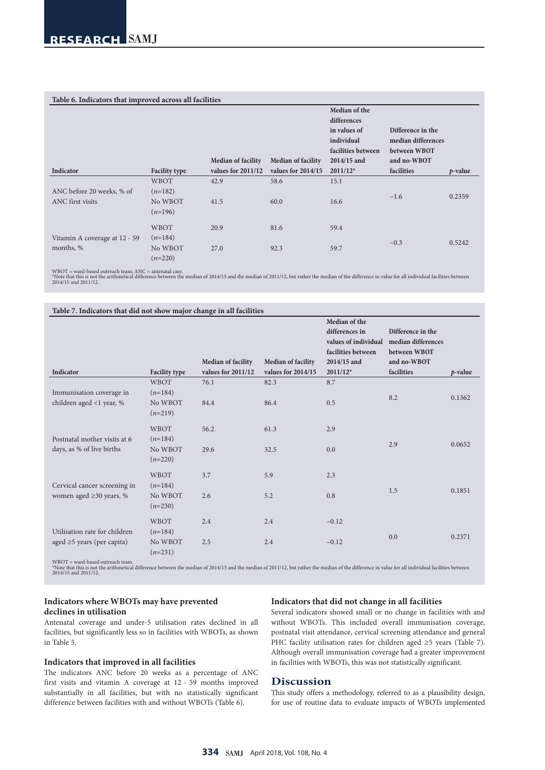| Table 6. Indicators that improved across all facilities |                                   |                           |                           |                                                                                  |                                                         |            |  |  |
|---------------------------------------------------------|-----------------------------------|---------------------------|---------------------------|----------------------------------------------------------------------------------|---------------------------------------------------------|------------|--|--|
|                                                         |                                   |                           |                           | Median of the<br>differences<br>in values of<br>individual<br>facilities between | Difference in the<br>median differences<br>between WBOT |            |  |  |
|                                                         |                                   | <b>Median of facility</b> | <b>Median of facility</b> | 2014/15 and                                                                      | and no-WBOT                                             |            |  |  |
| Indicator                                               | <b>Facility type</b>              | values for $2011/12$      | values for $2014/15$      | $2011/12*$                                                                       | facilities                                              | $p$ -value |  |  |
|                                                         | WBOT                              | 42.9                      | 58.6                      | 15.1                                                                             |                                                         |            |  |  |
| ANC before 20 weeks, % of<br>ANC first visits           | $(n=182)$<br>No WBOT<br>$(n=196)$ | 41.5                      | 60.0                      | 16.6                                                                             | $-1.6$                                                  | 0.2359     |  |  |
| Vitamin A coverage at 12 - 59                           | WBOT<br>$(n=184)$                 | 20.9                      | 81.6                      | 59.4                                                                             |                                                         |            |  |  |
| months, %                                               | No WBOT<br>$(n=220)$              | 27.0                      | 92.3                      | 59.7                                                                             | $-0.3$                                                  | 0.5242     |  |  |

WBOT = ward-based outreach team; ANC = antenatal care.<br>\*Note that is is not the arithmetical difference between the median of 2014/15 and the median of 2011/12, but rather the median of the difference in value for all indi

|                                                               |                                   | <b>Median of facility</b> | <b>Median of facility</b> | Median of the<br>differences in<br>values of individual<br>facilities between<br>2014/15 and | Difference in the<br>median differences<br>between WBOT<br>and no-WBOT |            |
|---------------------------------------------------------------|-----------------------------------|---------------------------|---------------------------|----------------------------------------------------------------------------------------------|------------------------------------------------------------------------|------------|
| Indicator                                                     | <b>Facility type</b>              | values for 2011/12        | values for 2014/15        | $2011/12*$                                                                                   | facilities                                                             | $p$ -value |
|                                                               | <b>WBOT</b>                       | 76.1                      | 82.3                      | 8.7                                                                                          |                                                                        |            |
| Immunisation coverage in<br>children aged <1 year, %          | $(n=184)$<br>No WBOT<br>$(n=219)$ | 84.4                      | 86.4                      | 0.5                                                                                          | 8.2                                                                    | 0.1362     |
|                                                               | <b>WBOT</b>                       | 56.2                      | 61.3                      | 2.9                                                                                          |                                                                        |            |
| Postnatal mother visits at 6<br>days, as % of live births     | $(n=184)$<br>No WBOT<br>$(n=220)$ | 29.6                      | 32.5                      | 0.0                                                                                          | 2.9                                                                    | 0.0652     |
|                                                               | WBOT                              | 3.7                       | 5.9                       | 2.3                                                                                          |                                                                        |            |
| Cervical cancer screening in<br>women aged $\geq$ 30 years, % | $(n=184)$<br>No WBOT<br>$(n=230)$ | 2.6                       | 5.2                       | 0.8                                                                                          | 1.5                                                                    | 0.1851     |
| Utilisation rate for children                                 | <b>WBOT</b><br>$(n=184)$          | 2.4                       | 2.4                       | $-0.12$                                                                                      |                                                                        |            |
| aged $\geq$ 5 years (per capita)                              | No WBOT<br>$(n=231)$              | 2.5                       | 2.4                       | $-0.12$                                                                                      | 0.0                                                                    | 0.2371     |

WBOT = ward-based outreach team.<br>\*Note that this is not the arithmetical difference between the median of 2014/15 and the median of 2011/12, but rather the median of the difference in value for all individual facilities be

# **Indicators where WBOTs may have prevented declines in utilisation**

Antenatal coverage and under-5 utilisation rates declined in all facilities, but significantly less so in facilities with WBOTs, as shown in Table 5.

# **Indicators that improved in all facilities**

The indicators ANC before 20 weeks as a percentage of ANC first visits and vitamin A coverage at 12 - 59 months improved substantially in all facilities, but with no statistically significant difference between facilities with and without WBOTs (Table 6).

## **Indicators that did not change in all facilities**

Several indicators showed small or no change in facilities with and without WBOTs. This included overall immunisation coverage, postnatal visit attendance, cervical screening attendance and general PHC facility utilisation rates for children aged ≥5 years (Table 7). Although overall immunisation coverage had a greater improvement in facilities with WBOTs, this was not statistically significant.

## **Discussion**

This study offers a methodology, referred to as a plausibility design, for use of routine data to evaluate impacts of WBOTs implemented